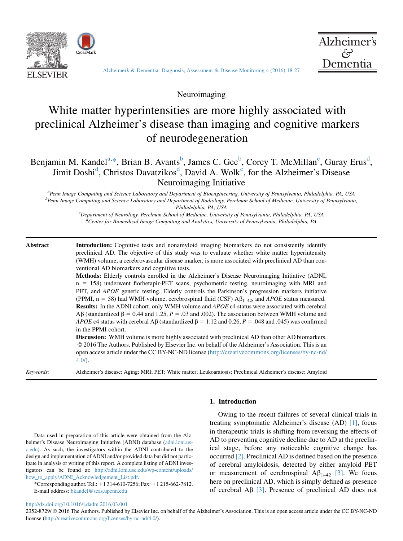



[Alzheimer's & Dementia: Diagnosis, Assessment & Disease Monitoring 4 \(2016\) 18-27](http://dx.doi.org/10.1016/j.dadm.2016.03.001)

Neuroimaging

# White matter hyperintensities are more highly associated with preclinical Alzheimer's disease than imaging and cognitive markers of neurodegeneration

## Benjamin M. Kandel<sup>a,\*</sup>, Brian B. Avants<sup>b</sup>, James C. Gee<sup>b</sup>, Corey T. McMillan<sup>c</sup>, Guray Erus<sup>d</sup>, Jimit Doshi<sup>d</sup>, Christos Davatzikos<sup>d</sup>, David A. Wolk<sup>c</sup>, for the Alzheimer's Disease Neuroimaging Initiative

a Penn Image Computing and Science Laboratory and Department of Bioengineering, University of Pennsylvania, Philadelphia, PA, USA **Penn Image Computing and Science Laboratory and Department of Radiology, Perelman School of Medicine, University of Pennsylvania,** 

Philadelphia, PA, USA<br>Department of Neurology, Perelman School of Medicine, University of Pennsylvania, Philadelphia, PA, USA<sup>.</sup> <sup>d</sup>Center for Biomedical Image Computing and Analytics, University of Pennsylvania, Philadelphia, PA

Abstract Introduction: Cognitive tests and nonamyloid imaging biomarkers do not consistently identify preclinical AD. The objective of this study was to evaluate whether white matter hyperintensity (WMH) volume, a cerebrovascular disease marker, is more associated with preclinical AD than conventional AD biomarkers and cognitive tests.

> Methods: Elderly controls enrolled in the Alzheimer's Disease Neuroimaging Initiative (ADNI,  $n = 158$ ) underwent florbetapir-PET scans, psychometric testing, neuroimaging with MRI and PET, and APOE genetic testing. Elderly controls the Parkinson's progression markers initiative (PPMI,  $n = 58$ ) had WMH volume, cerebrospinal fluid (CSF)  $A\beta_{1-42}$ , and APOE status measured. Results: In the ADNI cohort, only WMH volume and APOE ε4 status were associated with cerebral A $\beta$  (standardized  $\beta$  = 0.44 and 1.25, P = .03 and .002). The association between WMH volume and APOE  $\varepsilon$ 4 status with cerebral A $\beta$  (standardized  $\beta = 1.12$  and 0.26, P = .048 and .045) was confirmed in the PPMI cohort.

> Discussion: WMH volume is more highly associated with preclinical AD than other AD biomarkers. 2016 The Authors. Published by Elsevier Inc. on behalf of the Alzheimer's Association. This is an open access article under the CC BY-NC-ND license ([http://creativecommons.org/licenses/by-nc-nd/](http://creativecommons.org/licenses/by-nc-nd/4.0/)  $4.0/$ ).

Keywords: Alzheimer's disease; Aging; MRI; PET; White matter; Leukoaraiosis; Preclinical Alzheimer's disease; Amyloid

Data used in preparation of this article were obtained from the Alzheimer's Disease Neuroimaging Initiative (ADNI) database [\(adni.loni.us](http://adni.loni.usc.edu)[c.edu\)](http://adni.loni.usc.edu). As such, the investigators within the ADNI contributed to the design and implementation of ADNI and/or provided data but did not participate in analysis or writing of this report. A complete listing of ADNI investigators can be found at: [http://adni.loni.usc.edu/wp-content/uploads/](http://adni.loni.usc.edu/wp-content/uploads/how_to_apply/ADNI_Acknowledgement_List.pdf) [how\\_to\\_apply/ADNI\\_Acknowledgement\\_List.pdf](http://adni.loni.usc.edu/wp-content/uploads/how_to_apply/ADNI_Acknowledgement_List.pdf).

\*Corresponding author. Tel.: 11 314-610-7256; Fax: 11 215-662-7812. E-mail address: [bkandel@seas.upenn.edu](mailto:bkandel@seas.upenn.edu)

#### 1. Introduction

Owing to the recent failures of several clinical trials in treating symptomatic Alzheimer's disease (AD) [\[1\]](#page-7-0), focus in therapeutic trials is shifting from reversing the effects of AD to preventing cognitive decline due to AD at the preclinical stage, before any noticeable cognitive change has occurred [\[2\]](#page-7-0). Preclinical AD is defined based on the presence of cerebral amyloidosis, detected by either amyloid PET or measurement of cerebrospinal  $\mathbb{A}\beta_{1-42}$  [\[3\].](#page-7-0) We focus here on preclinical AD, which is simply defined as presence of cerebral  $\mathbf{A}\beta$  [\[3\]](#page-7-0). Presence of preclinical AD does not

#### <http://dx.doi.org/10.1016/j.dadm.2016.03.001>

2352-8729/  $\odot$  2016 The Authors. Published by Elsevier Inc. on behalf of the Alzheimer's Association. This is an open access article under the CC BY-NC-ND license ([http://creativecommons.org/licenses/by-nc-nd/4.0/\)](http://creativecommons.org/licenses/by-nc-nd/4.0/).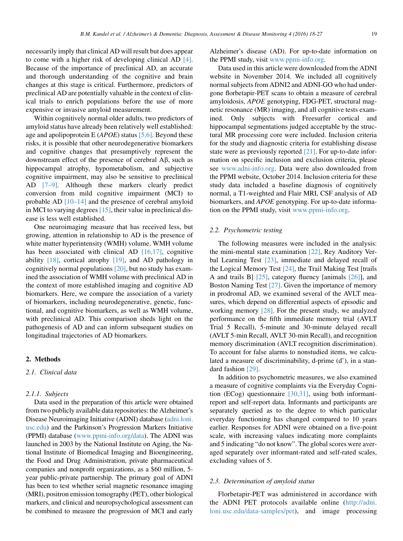necessarily imply that clinical AD will result but does appear to come with a higher risk of developing clinical AD [\[4\].](#page-7-0) Because of the importance of preclinical AD, an accurate and thorough understanding of the cognitive and brain changes at this stage is critical. Furthermore, predictors of preclinical AD are potentially valuable in the context of clinical trials to enrich populations before the use of more expensive or invasive amyloid measurement.

Within cognitively normal older adults, two predictors of amyloid status have already been relatively well established: age and apolipoprotein E  $(APOE)$  status [\[5,6\]](#page-7-0). Beyond these risks, it is possible that other neurodegenerative biomarkers and cognitive changes that presumptively represent the downstream effect of the presence of cerebral  $\mathbf{A}\mathbf{\beta}$ , such as hippocampal atrophy, hypometabolism, and subjective cognitive impairment, may also be sensitive to preclinical AD [\[7–9\]](#page-7-0). Although these markers clearly predict conversion from mild cognitive impairment (MCI) to probable AD [\[10–14\]](#page-7-0) and the presence of cerebral amyloid in MCI to varying degrees [\[15\],](#page-7-0) their value in preclinical disease is less well established.

One neuroimaging measure that has received less, but growing, attention in relationship to AD is the presence of white matter hyperintensity (WMH) volume. WMH volume has been associated with clinical AD  $[16,17]$ , cognitive ability [\[18\],](#page-7-0) cortical atrophy [\[19\]](#page-8-0), and AD pathology in cognitively normal populations [\[20\]](#page-8-0), but no study has examined the association of WMH volume with preclinical AD in the context of more established imaging and cognitive AD biomarkers. Here, we compare the association of a variety of biomarkers, including neurodegenerative, genetic, functional, and cognitive biomarkers, as well as WMH volume, with preclinical AD. This comparison sheds light on the pathogenesis of AD and can inform subsequent studies on longitudinal trajectories of AD biomarkers.

#### 2. Methods

#### 2.1. Clinical data

#### 2.1.1. Subjects

Data used in the preparation of this article were obtained from two publicly available data repositories: the Alzheimer's Disease Neuroimaging Initiative (ADNI) database [\(adni.loni.](http://adni.loni.usc.edu) [usc.edu\)](http://adni.loni.usc.edu) and the Parkinson's Progression Markers Initiative (PPMI) database [\(www.ppmi-info.org/data](http://www.ppmi-info.org/data)). The ADNI was launched in 2003 by the National Institute on Aging, the National Institute of Biomedical Imaging and Bioengineering, the Food and Drug Administration, private pharmaceutical companies and nonprofit organizations, as a \$60 million, 5 year public-private partnership. The primary goal of ADNI has been to test whether serial magnetic resonance imaging (MRI), positron emission tomography (PET), other biological markers, and clinical and neuropsychological assessment can be combined to measure the progression of MCI and early Alzheimer's disease (AD). For up-to-date information on the PPMI study, visit [www.ppmi-info.org](http://www.ppmi-info.org).

Data used in this article were downloaded from the ADNI website in November 2014. We included all cognitively normal subjects from ADNI2 and ADNI-GO who had undergone florbetapir-PET scans to obtain a measure of cerebral amyloidosis, APOE genotyping, FDG-PET, structural magnetic resonance (MR) imaging, and all cognitive tests examined. Only subjects with Freesurfer cortical and hippocampal segmentations judged acceptable by the structural MR processing core were included. Inclusion criteria for the study and diagnostic criteria for establishing disease state were as previously reported [\[21\]](#page-8-0). For up-to-date information on specific inclusion and exclusion criteria, please see [www.adni-info.org.](http://www.adni-info.org) Data were also downloaded from the PPMI website, October 2014. Inclusion criteria for these study data included a baseline diagnosis of cognitively normal, a T1-weighted and Flair MRI, CSF analysis of AD biomarkers, and APOE genotyping. For up-to-date information on the PPMI study, visit [www.ppmi-info.org.](http://www.ppmi-info.org)

#### 2.2. Psychometric testing

The following measures were included in the analysis: the mini-mental state examination [\[22\]](#page-8-0), Rey Auditory Verbal Learning Test [\[23\]](#page-8-0), immediate and delayed recall of the Logical Memory Test [\[24\],](#page-8-0) the Trail Making Test [trails A and trails B] [\[25\],](#page-8-0) category fluency [animals [\[26\]](#page-8-0)], and Boston Naming Test [\[27\]](#page-8-0). Given the importance of memory in prodromal AD, we examined several of the AVLT measures, which depend on differential aspects of episodic and working memory [\[28\]](#page-8-0). For the present study, we analyzed performance on the fifth immediate memory trial (AVLT Trial 5 Recall), 5-minute and 30-minute delayed recall (AVLT 5-min Recall, AVLT 30-min Recall), and recognition memory discrimination (AVLT recognition discrimination). To account for false alarms to nonstudied items, we calculated a measure of discriminability, d-prime (d'), in a standard fashion [\[29\]](#page-8-0).

In addition to psychometric measures, we also examined a measure of cognitive complaints via the Everyday Cognition (ECog) questionnaire [\[30,31\]](#page-8-0), using both informantreport and self-report data. Informants and participants are separately queried as to the degree to which particular everyday functioning has changed compared to 10 years earlier. Responses for ADNI were obtained on a five-point scale, with increasing values indicating more complaints and 5 indicating "do not know". The global scores were averaged separately over informant-rated and self-rated scales, excluding values of 5.

#### 2.3. Determination of amyloid status

Florbetapir-PET was administered in accordance with the ADNI PET protocols available online [\(http://adni.](http://adni.loni.usc.edu/data-samples/pet) [loni.usc.edu/data-samples/pet](http://adni.loni.usc.edu/data-samples/pet)), and image processing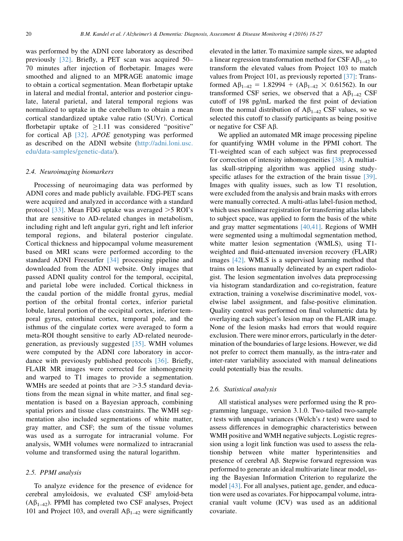was performed by the ADNI core laboratory as described previously [\[32\].](#page-8-0) Briefly, a PET scan was acquired 50– 70 minutes after injection of florbetapir. Images were smoothed and aligned to an MPRAGE anatomic image to obtain a cortical segmentation. Mean florbetapir uptake in lateral and medial frontal, anterior and posterior cingulate, lateral parietal, and lateral temporal regions was normalized to uptake in the cerebellum to obtain a mean cortical standardized uptake value ratio (SUVr). Cortical florbetapir uptake of  $\geq 1.11$  was considered "positive" for cortical A $\beta$  [\[32\]](#page-8-0). APOE genotyping was performed as described on the ADNI website ([http://adni.loni.usc.](http://adni.loni.usc.edu/data-samples/genetic-data/) [edu/data-samples/genetic-data/\)](http://adni.loni.usc.edu/data-samples/genetic-data/).

#### 2.4. Neuroimaging biomarkers

Processing of neuroimaging data was performed by ADNI cores and made publicly available. FDG-PET scans were acquired and analyzed in accordance with a standard protocol  $[33]$ . Mean FDG uptake was averaged  $>5$  ROI's that are sensitive to AD-related changes in metabolism, including right and left angular gyri, right and left inferior temporal regions, and bilateral posterior cingulate. Cortical thickness and hippocampal volume measurement based on MRI scans were performed according to the standard ADNI Freesurfer [\[34\]](#page-8-0) processing pipeline and downloaded from the ADNI website. Only images that passed ADNI quality control for the temporal, occipital, and parietal lobe were included. Cortical thickness in the caudal portion of the middle frontal gyrus, medial portion of the orbital frontal cortex, inferior parietal lobule, lateral portion of the occipital cortex, inferior temporal gyrus, entorhinal cortex, temporal pole, and the isthmus of the cingulate cortex were averaged to form a meta-ROI thought sensitive to early AD-related neurodegeneration, as previously suggested [\[35\]](#page-8-0). WMH volumes were computed by the ADNI core laboratory in accordance with previously published protocols [\[36\].](#page-8-0) Briefly, FLAIR MR images were corrected for inhomogeneity and warped to T1 images to provide a segmentation. WMHs are seeded at points that are  $>3.5$  standard deviations from the mean signal in white matter, and final segmentation is based on a Bayesian approach, combining spatial priors and tissue class constraints. The WMH segmentation also included segmentations of white matter, gray matter, and CSF; the sum of the tissue volumes was used as a surrogate for intracranial volume. For analysis, WMH volumes were normalized to intracranial volume and transformed using the natural logarithm.

#### 2.5. PPMI analysis

To analyze evidence for the presence of evidence for cerebral amyloidosis, we evaluated CSF amyloid-beta  $(A\beta_{1-42})$ . PPMI has completed two CSF analyses, Project 101 and Project 103, and overall  $A\beta_{1-42}$  were significantly elevated in the latter. To maximize sample sizes, we adapted a linear regression transformation method for CSF  $\mathsf{AB}_{1-42}$  to transform the elevated values from Project 103 to match values from Project 101, as previously reported [\[37\]](#page-8-0): Transformed  $A\beta_{1-42} = 1.82994 + (A\beta_{1-42} \times 0.61562)$ . In our transformed CSF series, we observed that a  $A\beta_{1-42}$  CSF cutoff of 198 pg/mL marked the first point of deviation from the normal distribution of  $A\beta_{1-42}$  CSF values, so we selected this cutoff to classify participants as being positive or negative for  $CSF$  A $\beta$ .

We applied an automated MR image processing pipeline for quantifying WMH volume in the PPMI cohort. The T1-weighted scan of each subject was first preprocessed for correction of intensity inhomogeneities [\[38\].](#page-8-0) A multiatlas skull-stripping algorithm was applied using study-specific atlases for the extraction of the brain tissue [\[39\].](#page-8-0) Images with quality issues, such as low T1 resolution, were excluded from the analysis and brain masks with errors were manually corrected. A multi-atlas label-fusion method, which uses nonlinear registration for transferring atlas labels to subject space, was applied to form the basis of the white and gray matter segmentations [\[40,41\].](#page-8-0) Regions of WMH were segmented using a multimodal segmentation method, white matter lesion segmentation (WMLS), using T1 weighted and fluid-attenuated inversion recovery (FLAIR) images [\[42\].](#page-8-0) WMLS is a supervised learning method that trains on lesions manually delineated by an expert radiologist. The lesion segmentation involves data preprocessing via histogram standardization and co-registration, feature extraction, training a voxelwise discriminative model, voxelwise label assignment, and false-positive elimination. Quality control was performed on final volumetric data by overlaying each subject's lesion map on the FLAIR image. None of the lesion masks had errors that would require exclusion. There were minor errors, particularly in the determination of the boundaries of large lesions. However, we did not prefer to correct them manually, as the intra-rater and inter-rater variability associated with manual delineations could potentially bias the results.

#### 2.6. Statistical analysis

All statistical analyses were performed using the R programming language, version 3.1.0. Two-tailed two-sample  $t$  tests with unequal variances (Welch's  $t$  test) were used to assess differences in demographic characteristics between WMH positive and WMH negative subjects. Logistic regression using a logit link function was used to assess the relationship between white matter hyperintensities and presence of cerebral  $\mathbf{A}\beta$ . Stepwise forward regression was performed to generate an ideal multivariate linear model, using the Bayesian Information Criterion to regularize the model [\[43\].](#page-8-0) For all analyses, patient age, gender, and education were used as covariates. For hippocampal volume, intracranial vault volume (ICV) was used as an additional covariate.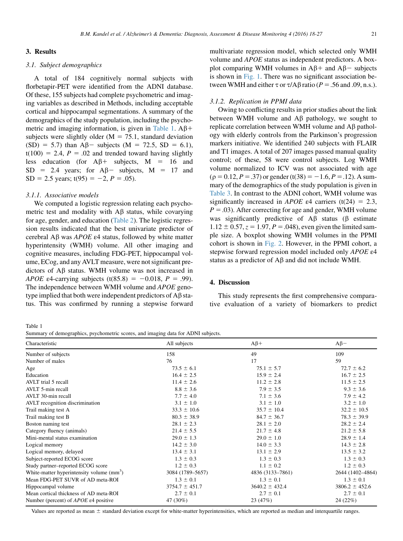#### 3. Results

#### 3.1. Subject demographics

A total of 184 cognitively normal subjects with florbetapir-PET were identified from the ADNI database. Of these, 155 subjects had complete psychometric and imaging variables as described in Methods, including acceptable cortical and hippocampal segmentations. A summary of the demographics of the study population, including the psychometric and imaging information, is given in Table 1.  $\mathbf{A}\beta$ + subjects were slightly older  $(M = 75.1$ , standard deviation (SD) = 5.7) than A $\beta$ - subjects (M = 72.5, SD = 6.1),  $t(100) = 2.4$ ,  $P = .02$  and trended toward having slightly less education (for  $A\beta$ + subjects, M = 16 and  $SD = 2.4$  years; for  $A\beta$  subjects,  $M = 17$  and  $SD = 2.5$  years;  $t(95) = -2$ ,  $P = .05$ ).

#### 3.1.1. Associative models

We computed a logistic regression relating each psychometric test and modality with  $\mathbf{A}\boldsymbol{\beta}$  status, while covarying for age, gender, and education ([Table 2](#page-4-0)). The logistic regression results indicated that the best univariate predictor of cerebral  $\overrightarrow{AB}$  was  $APOE$   $\varepsilon$ 4 status, followed by white matter hyperintensity (WMH) volume. All other imaging and cognitive measures, including FDG-PET, hippocampal volume, ECog, and any AVLT measure, were not significant predictors of  $\overrightarrow{AB}$  status. WMH volume was not increased in APOE  $\epsilon$ 4-carrying subjects (t(85.8) = -0.018, P = .99). The independence between WMH volume and APOE genotype implied that both were independent predictors of  $\overrightarrow{AB}$  status. This was confirmed by running a stepwise forward multivariate regression model, which selected only WMH volume and APOE status as independent predictors. A boxplot comparing WMH volumes in  $A\beta$ + and  $A\beta$  subjects is shown in [Fig. 1](#page-4-0). There was no significant association between WMH and either  $\tau$  or  $\tau$ /A $\beta$  ratio (P = .56 and .09, n.s.).

#### 3.1.2. Replication in PPMI data

Owing to conflicting results in prior studies about the link between WMH volume and  $\mathbf{A}\beta$  pathology, we sought to replicate correlation between WMH volume and  $\mathbf{A}\beta$  pathology with elderly controls from the Parkinson's progression markers initiative. We identified 240 subjects with FLAIR and T1 images. A total of 207 images passed manual quality control; of these, 58 were control subjects. Log WMH volume normalized to ICV was not associated with age  $(p = 0.12, P = .37)$  or gender (t(38) = -1.6, P = .12). A summary of the demographics of the study population is given in [Table 3.](#page-5-0) In contrast to the ADNI cohort, WMH volume was significantly increased in *APOE*  $\varepsilon$ 4 carriers (t(24) = 2.3,  $P = .03$ ). After correcting for age and gender, WMH volume was significantly predictive of  $\mathbf{A}\beta$  status ( $\beta$  estimate  $1.12 \pm 0.57$ ,  $z = 1.97$ ,  $P = .048$ ), even given the limited sample size. A boxplot showing WMH volumes in the PPMI cohort is shown in [Fig. 2.](#page-5-0) However, in the PPMI cohort, a stepwise forward regression model included only APOE ε4 status as a predictor of  $A\beta$  and did not include WMH.

#### 4. Discussion

This study represents the first comprehensive comparative evaluation of a variety of biomarkers to predict

Table 1

Summary of demographics, psychometric scores, and imaging data for ADNI subjects.

| Characteristic                                           | All subjects       | $A\beta+$          | $A\beta-$          |
|----------------------------------------------------------|--------------------|--------------------|--------------------|
| Number of subjects                                       | 158                | 49                 | 109                |
| Number of males                                          | 76                 | 17                 | 59                 |
| Age                                                      | $73.5 \pm 6.1$     | $75.1 \pm 5.7$     | $72.7 \pm 6.2$     |
| Education                                                | $16.4 \pm 2.5$     | $15.9 \pm 2.4$     | $16.7 \pm 2.5$     |
| AVLT trial 5 recall                                      | $11.4 \pm 2.6$     | $11.2 \pm 2.8$     | $11.5 \pm 2.5$     |
| AVLT 5-min recall                                        | $8.8 \pm 3.6$      | $7.9 \pm 3.5$      | $9.3 \pm 3.6$      |
| AVLT 30-min recall                                       | $7.7 \pm 4.0$      | $7.1 \pm 3.6$      | $7.9 \pm 4.2$      |
| AVLT recognition discrimination                          | $3.1 \pm 1.0$      | $3.1 \pm 1.0$      | $3.2 \pm 1.0$      |
| Trail making test A                                      | $33.3 \pm 10.6$    | $35.7 \pm 10.4$    | $32.2 \pm 10.5$    |
| Trail making test B                                      | $80.3 \pm 38.9$    | $84.7 \pm 36.7$    | $78.3 \pm 39.9$    |
| Boston naming test                                       | $28.1 \pm 2.3$     | $28.1 \pm 2.0$     | $28.2 \pm 2.4$     |
| Category fluency (animals)                               | $21.4 \pm 5.5$     | $21.7 \pm 4.8$     | $21.2 \pm 5.8$     |
| Mini-mental status examination                           | $29.0 \pm 1.3$     | $29.0 \pm 1.0$     | $28.9 \pm 1.4$     |
| Logical memory                                           | $14.2 \pm 3.0$     | $14.0 \pm 3.3$     | $14.3 \pm 2.8$     |
| Logical memory, delayed                                  | $13.4 \pm 3.1$     | $13.1 \pm 2.9$     | $13.5 \pm 3.2$     |
| Subject-reported ECOG score                              | $1.3 \pm 0.3$      | $1.3 \pm 0.3$      | $1.3 \pm 0.3$      |
| Study partner-reported ECOG score                        | $1.2 \pm 0.3$      | $1.1 \pm 0.2$      | $1.2 \pm 0.3$      |
| White-matter hyperintensity volume $\text{(mm)}^3$ )     | 3084 (1789–5657)   | 4836 (3133–7861)   | 2644 (1402-4864)   |
| Mean FDG-PET SUVR of AD meta-ROI                         | $1.3 \pm 0.1$      | $1.3 \pm 0.1$      | $1.3 \pm 0.1$      |
| Hippocampal volume                                       | $3754.7 \pm 451.7$ | $3640.2 \pm 432.4$ | $3806.2 \pm 452.6$ |
| Mean cortical thickness of AD meta-ROI                   | $2.7 \pm 0.1$      | $2.7 \pm 0.1$      | $2.7 \pm 0.1$      |
| Number (percent) of <i>APOE</i> $\varepsilon$ 4 positive | 47 (30%)           | 23 (47%)           | 24(22%)            |

Values are reported as mean  $\pm$  standard deviation except for white-matter hyperintensities, which are reported as median and interquartile ranges.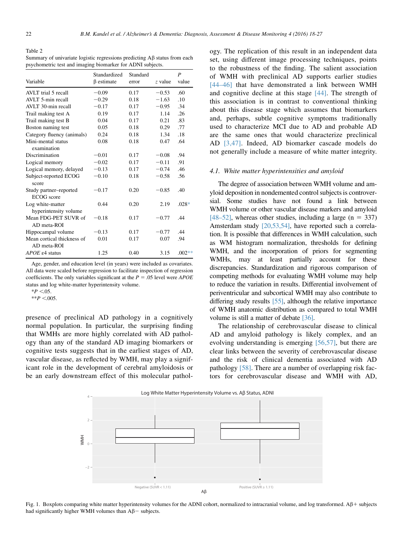<span id="page-4-0"></span>Table 2 Summary of univariate logistic regressions predicting  $\mathbf{A}\beta$  status from each psychometric test and imaging biomarker for ADNI subjects.

|                                           | Standardized | Standard |         | P        |
|-------------------------------------------|--------------|----------|---------|----------|
| Variable                                  | β estimate   | error    | z value | value    |
| AVLT trial 5 recall                       | $-0.09$      | 0.17     | $-0.53$ | .60      |
| $AVLT$ 5-min recall                       | $-0.29$      | 0.18     | $-1.63$ | .10      |
| $AVLT$ 30-min recall                      | $-0.17$      | 0.17     | $-0.95$ | .34      |
| Trail making test A                       | 0.19         | 0.17     | 1.14    | .26      |
| Trail making test B                       | 0.04         | 0.17     | 0.21    | .83      |
| Boston naming test                        | 0.05         | 0.18     | 0.29    | .77      |
| Category fluency (animals)                | 0.24         | 0.18     | 1.34    | .18      |
| Mini-mental status<br>examination         | 0.08         | 0.18     | 0.47    | .64      |
| Discrimination                            | $-0.01$      | 0.17     | $-0.08$ | .94      |
| Logical memory                            | $-0.02$      | 0.17     | $-0.11$ | .91      |
| Logical memory, delayed                   | $-0.13$      | 0.17     | $-0.74$ | .46      |
| Subject-reported ECOG<br>score            | $-0.10$      | 0.18     | $-0.58$ | .56      |
| Study partner-reported<br>ECOG score      | $-0.17$      | 0.20     | $-0.85$ | .40      |
| Log white-matter<br>hyperintensity volume | 0.44         | 0.20     | 2.19    | $.028*$  |
| Mean FDG-PET SUVR of<br>AD meta-ROI       | $-0.18$      | 0.17     | $-0.77$ | .44      |
| Hippocampal volume                        | $-0.13$      | 0.17     | $-0.77$ | .44      |
| Mean cortical thickness of<br>AD meta-ROI | 0.01         | 0.17     | 0.07    | .94      |
| $APOE$ $\varepsilon$ 4 status             | 1.25         | 0.40     | 3.15    | $.002**$ |

Age, gender, and education level (in years) were included as covariates. All data were scaled before regression to facilitate inspection of regression coefficients. The only variables significant at the  $P = .05$  level were APOE status and log white-matter hyperintensity volume.

 $*P < 05.$ 

 $*$  $P < 005$ .

presence of preclinical AD pathology in a cognitively normal population. In particular, the surprising finding that WMHs are more highly correlated with AD pathology than any of the standard AD imaging biomarkers or cognitive tests suggests that in the earliest stages of AD, vascular disease, as reflected by WMH, may play a significant role in the development of cerebral amyloidosis or be an early downstream effect of this molecular pathology. The replication of this result in an independent data set, using different image processing techniques, points to the robustness of the finding. The salient association of WMH with preclinical AD supports earlier studies [\[44–46\]](#page-8-0) that have demonstrated a link between WMH and cognitive decline at this stage [\[44\].](#page-8-0) The strength of this association is in contrast to conventional thinking about this disease stage which assumes that biomarkers and, perhaps, subtle cognitive symptoms traditionally used to characterize MCI due to AD and probable AD are the same ones that would characterize preclinical AD [\[3,47\].](#page-7-0) Indeed, AD biomarker cascade models do not generally include a measure of white matter integrity.

#### 4.1. White matter hyperintensities and amyloid

The degree of association between WMH volume and amyloid deposition in nondemented control subjects is controversial. Some studies have not found a link between WMH volume or other vascular disease markers and amyloid [\[48–52\],](#page-8-0) whereas other studies, including a large ( $n = 337$ ) Amsterdam study [\[20,53,54\]](#page-8-0), have reported such a correlation. It is possible that differences in WMH calculation, such as WM histogram normalization, thresholds for defining WMH, and the incorporation of priors for segmenting WMHs, may at least partially account for these discrepancies. Standardization and rigorous comparison of competing methods for evaluating WMH volume may help to reduce the variation in results. Differential involvement of periventricular and subcortical WMH may also contribute to differing study results [\[55\]](#page-8-0), although the relative importance of WMH anatomic distribution as compared to total WMH volume is still a matter of debate [\[36\].](#page-8-0)

The relationship of cerebrovascular disease to clinical AD and amyloid pathology is likely complex, and an evolving understanding is emerging [\[56,57\]](#page-8-0), but there are clear links between the severity of cerebrovascular disease and the risk of clinical dementia associated with AD pathology [\[58\]](#page-8-0). There are a number of overlapping risk factors for cerebrovascular disease and WMH with AD,



Fig. 1. Boxplots comparing white matter hyperintensity volumes for the ADNI cohort, normalized to intracranial volume, and log transformed.  $A\beta$ + subjects had significantly higher WMH volumes than  $A\beta$  - subjects.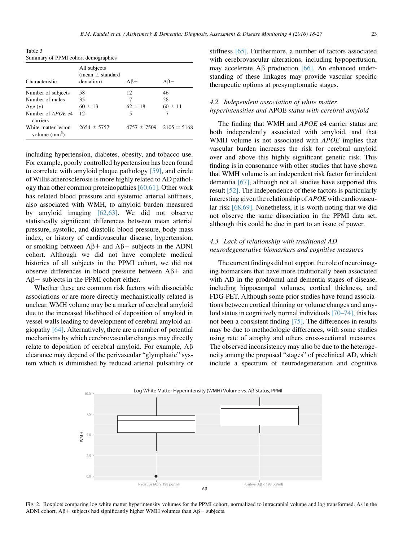<span id="page-5-0"></span>Table 3 Summary of PPMI cohort demographics

| Characteristic                               | All subjects<br>(mean $\pm$ standard<br>deviation) | $A\beta+$     | Aß-             |
|----------------------------------------------|----------------------------------------------------|---------------|-----------------|
| Number of subjects                           | 58                                                 | 12            | 46              |
| Number of males                              | 35                                                 | 7             | 28              |
| Age $(y)$                                    | $60 \pm 13$                                        | $62 + 18$     | $60 \pm 11$     |
| Number of $APOE$ $\varepsilon$ 4<br>carriers | 12                                                 | 5             |                 |
| White-matter lesion<br>volume $(mm^3)$       | $2654 \pm 5757$                                    | $4757 + 7509$ | $2105 \pm 5168$ |

including hypertension, diabetes, obesity, and tobacco use. For example, poorly controlled hypertension has been found to correlate with amyloid plaque pathology [\[59\],](#page-8-0) and circle of Willis atherosclerosis is more highly related to AD pathology than other common proteinopathies [\[60,61\]](#page-8-0). Other work has related blood pressure and systemic arterial stiffness, also associated with WMH, to amyloid burden measured by amyloid imaging [\[62,63\]](#page-9-0). We did not observe statistically significant differences between mean arterial pressure, systolic, and diastolic blood pressure, body mass index, or history of cardiovascular disease, hypertension, or smoking between  $A\beta$ <sup>+</sup> and  $A\beta$ <sup>-</sup> subjects in the ADNI cohort. Although we did not have complete medical histories of all subjects in the PPMI cohort, we did not observe differences in blood pressure between  $A\beta$ + and  $A\beta$  - subjects in the PPMI cohort either.

Whether these are common risk factors with dissociable associations or are more directly mechanistically related is unclear. WMH volume may be a marker of cerebral amyloid due to the increased likelihood of deposition of amyloid in vessel walls leading to development of cerebral amyloid angiopathy [\[64\]](#page-9-0). Alternatively, there are a number of potential mechanisms by which cerebrovascular changes may directly relate to deposition of cerebral amyloid. For example,  $A\beta$ clearance may depend of the perivascular "glymphatic" system which is diminished by reduced arterial pulsatility or stiffness [\[65\].](#page-9-0) Furthermore, a number of factors associated with cerebrovascular alterations, including hypoperfusion, may accelerate  $\overrightarrow{AB}$  production [\[66\].](#page-9-0) An enhanced understanding of these linkages may provide vascular specific therapeutic options at presymptomatic stages.

#### 4.2. Independent association of white matter hyperintensities and APOE status with cerebral amyloid

The finding that WMH and APOE ε4 carrier status are both independently associated with amyloid, and that WMH volume is not associated with *APOE* implies that vascular burden increases the risk for cerebral amyloid over and above this highly significant genetic risk. This finding is in consonance with other studies that have shown that WMH volume is an independent risk factor for incident dementia [\[67\]](#page-9-0), although not all studies have supported this result [\[52\]](#page-8-0). The independence of these factors is particularly interesting given the relationship of APOE with cardiovascular risk [\[68,69\].](#page-9-0) Nonetheless, it is worth noting that we did not observe the same dissociation in the PPMI data set, although this could be due in part to an issue of power.

### 4.3. Lack of relationship with traditional AD neurodegenerative biomarkers and cognitive measures

The current findings did not support the role of neuroimaging biomarkers that have more traditionally been associated with AD in the prodromal and dementia stages of disease, including hippocampal volumes, cortical thickness, and FDG-PET. Although some prior studies have found associations between cortical thinning or volume changes and amy-loid status in cognitively normal individuals [\[70–74\]](#page-9-0), this has not been a consistent finding [\[75\]](#page-9-0). The differences in results may be due to methodologic differences, with some studies using rate of atrophy and others cross-sectional measures. The observed inconsistency may also be due to the heterogeneity among the proposed "stages" of preclinical AD, which include a spectrum of neurodegeneration and cognitive



Fig. 2. Boxplots comparing log white matter hyperintensity volumes for the PPMI cohort, normalized to intracranial volume and log transformed. As in the ADNI cohort,  $A\beta$ + subjects had significantly higher WMH volumes than  $A\beta$  - subjects.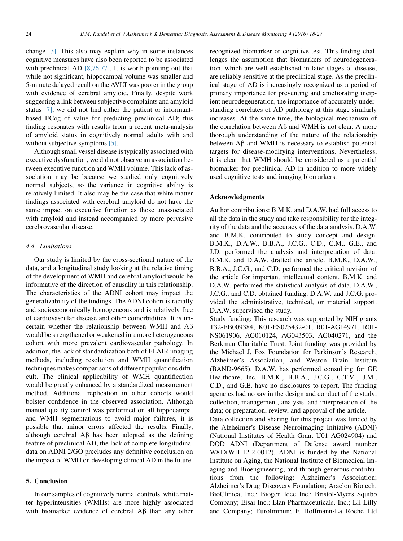change  $[3]$ . This also may explain why in some instances cognitive measures have also been reported to be associated with preclinical AD [\[8,76,77\].](#page-7-0) It is worth pointing out that while not significant, hippocampal volume was smaller and 5-minute delayed recall on the AVLT was poorer in the group with evidence of cerebral amyloid. Finally, despite work suggesting a link between subjective complaints and amyloid status [\[7\],](#page-7-0) we did not find either the patient or informantbased ECog of value for predicting preclinical AD; this finding resonates with results from a recent meta-analysis of amyloid status in cognitively normal adults with and without subjective symptoms [\[5\].](#page-7-0)

Although small vessel disease is typically associated with executive dysfunction, we did not observe an association between executive function and WMH volume. This lack of association may be because we studied only cognitively normal subjects, so the variance in cognitive ability is relatively limited. It also may be the case that white matter findings associated with cerebral amyloid do not have the same impact on executive function as those unassociated with amyloid and instead accompanied by more pervasive cerebrovascular disease.

#### 4.4. Limitations

Our study is limited by the cross-sectional nature of the data, and a longitudinal study looking at the relative timing of the development of WMH and cerebral amyloid would be informative of the direction of causality in this relationship. The characteristics of the ADNI cohort may impact the generalizability of the findings. The ADNI cohort is racially and socioeconomically homogeneous and is relatively free of cardiovascular disease and other comorbidities. It is uncertain whether the relationship between WMH and  $\overrightarrow{AB}$ would be strengthened or weakened in a more heterogeneous cohort with more prevalent cardiovascular pathology. In addition, the lack of standardization both of FLAIR imaging methods, including resolution and WMH quantification techniques makes comparisons of different populations difficult. The clinical applicability of WMH quantification would be greatly enhanced by a standardized measurement method. Additional replication in other cohorts would bolster confidence in the observed association. Although manual quality control was performed on all hippocampal and WMH segmentations to avoid major failures, it is possible that minor errors affected the results. Finally, although cerebral  $\mathbf{A}\beta$  has been adopted as the defining feature of preclinical AD, the lack of complete longitudinal data on ADNI 2/GO precludes any definitive conclusion on the impact of WMH on developing clinical AD in the future.

#### 5. Conclusion

In our samples of cognitively normal controls, white matter hyperintensities (WMHs) are more highly associated with biomarker evidence of cerebral  $\mathbf{A}\boldsymbol{\beta}$  than any other recognized biomarker or cognitive test. This finding challenges the assumption that biomarkers of neurodegeneration, which are well established in later stages of disease, are reliably sensitive at the preclinical stage. As the preclinical stage of AD is increasingly recognized as a period of primary importance for preventing and ameliorating incipient neurodegeneration, the importance of accurately understanding correlates of AD pathology at this stage similarly increases. At the same time, the biological mechanism of the correlation between  $A\beta$  and WMH is not clear. A more thorough understanding of the nature of the relationship between  $\mathbf{A}\beta$  and WMH is necessary to establish potential targets for disease-modifying interventions. Nevertheless, it is clear that WMH should be considered as a potential biomarker for preclinical AD in addition to more widely used cognitive tests and imaging biomarkers.

#### Acknowledgments

Author contributions: B.M.K. and D.A.W. had full access to all the data in the study and take responsibility for the integrity of the data and the accuracy of the data analysis. D.A.W. and B.M.K. contributed to study concept and design. B.M.K., D.A.W., B.B.A., J.C.G., C.D., C.M., G.E., and J.D. performed the analysis and interpretation of data. B.M.K. and D.A.W. drafted the article. B.M.K., D.A.W., B.B.A., J.C.G., and C.D. performed the critical revision of the article for important intellectual content. B.M.K. and D.A.W. performed the statistical analysis of data. D.A.W., J.C.G., and C.D. obtained funding. D.A.W. and J.C.G. provided the administrative, technical, or material support. D.A.W. supervised the study.

Study funding: This research was supported by NIH grants T32-EB009384, K01-ES025432-01, R01-AG14971, R01- NS061906, AG010124, AG043503, AG040271, and the Berkman Charitable Trust. Joint funding was provided by the Michael J. Fox Foundation for Parkinson's Research, Alzheimer's Association, and Weston Brain Institute (BAND-9665). D.A.W. has performed consulting for GE Healthcare, Inc. B.M.K., B.B.A., J.C.G., C.T.M., J.M., C.D., and G.E. have no disclosures to report. The funding agencies had no say in the design and conduct of the study; collection, management, analysis, and interpretation of the data; or preparation, review, and approval of the article.

Data collection and sharing for this project was funded by the Alzheimer's Disease Neuroimaging Initiative (ADNI) (National Institutes of Health Grant U01 AG024904) and DOD ADNI (Department of Defense award number W81XWH-12-2-0012). ADNI is funded by the National Institute on Aging, the National Institute of Biomedical Imaging and Bioengineering, and through generous contributions from the following: Alzheimer's Association; Alzheimer's Drug Discovery Foundation; Araclon Biotech; BioClinica, Inc.; Biogen Idec Inc.; Bristol-Myers Squibb Company; Eisai Inc.; Elan Pharmaceuticals, Inc.; Eli Lilly and Company; EuroImmun; F. Hoffmann-La Roche Ltd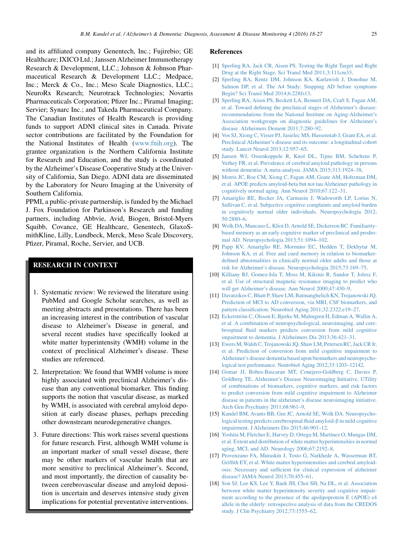<span id="page-7-0"></span>and its affiliated company Genentech, Inc.; Fujirebio; GE Healthcare; IXICO Ltd.; Janssen Alzheimer Immunotherapy Research & Development, LLC.; Johnson & Johnson Pharmaceutical Research & Development LLC.; Medpace, Inc.; Merck & Co., Inc.; Meso Scale Diagnostics, LLC.; NeuroRx Research; Neurotrack Technologies; Novartis Pharmaceuticals Corporation; Pfizer Inc.; Piramal Imaging; Servier; Synarc Inc.; and Takeda Pharmaceutical Company. The Canadian Institutes of Health Research is providing funds to support ADNI clinical sites in Canada. Private sector contributions are facilitated by the Foundation for the National Institutes of Health ([www.fnih.org\)](http://www.fnih.org). The grantee organization is the Northern California Institute for Research and Education, and the study is coordinated by the Alzheimer's Disease Cooperative Study at the University of California, San Diego. ADNI data are disseminated by the Laboratory for Neuro Imaging at the University of Southern California.

PPMI, a public-private partnership, is funded by the Michael J. Fox Foundation for Parkinson's Research and funding partners, including Abbvie, Avid, Biogen, Bristol-Myers Squibb, Covance, GE Healthcare, Genentech, GlaxoSmithKline, Lilly, Lundbeck, Merck, Meso Scale Discovery, Pfizer, Piramal, Roche, Servier, and UCB.

### RESEARCH IN CONTEXT

- 1. Systematic review: We reviewed the literature using PubMed and Google Scholar searches, as well as meeting abstracts and presentations. There has been an increasing interest in the contribution of vascular disease to Alzheimer's Disease in general, and several recent studies have specifically looked at white matter hyperintensity (WMH) volume in the context of preclinical Alzheimer's disease. These studies are referenced.
- 2. Interpretation: We found that WMH volume is more highly associated with preclinical Alzheimer's disease than any conventional biomarker. This finding supports the notion that vascular disease, as marked by WMH, is associated with cerebral amyloid deposition at early disease phases, perhaps preceding other downstream neurodegenerative changes.
- 3. Future directions: This work raises several questions for future research. First, although WMH volume is an important marker of small vessel disease, there may be other markers of vascular health that are more sensitive to preclinical Alzheimer's. Second, and most importantly, the direction of causality between cerebrovascular disease and amyloid deposition is uncertain and deserves intensive study given implications for potential preventative interventions.

#### References

- [1] [Sperling RA, Jack CR, Aisen PS. Testing the Right Target and Right](http://refhub.elsevier.com/S2352-8729(16)30019-7/sref1) [Drug at the Right Stage. Sci Transl Med 2011;3:111cm33](http://refhub.elsevier.com/S2352-8729(16)30019-7/sref1).
- [2] [Sperling RA, Rentz DM, Johnson KA, Karlawish J, Donohue M,](http://refhub.elsevier.com/S2352-8729(16)30019-7/sref2) [Salmon DP, et al. The A4 Study: Stopping AD before symptoms](http://refhub.elsevier.com/S2352-8729(16)30019-7/sref2) [Begin? Sci Transl Med 2014;6:228fs13](http://refhub.elsevier.com/S2352-8729(16)30019-7/sref2).
- [3] [Sperling RA, Aisen PS, Beckett LA, Bennett DA, Craft S, Fagan AM,](http://refhub.elsevier.com/S2352-8729(16)30019-7/sref3) [et al. Toward defining the preclinical stages of Alzheimer's disease:](http://refhub.elsevier.com/S2352-8729(16)30019-7/sref3) [recommendations from the National Institute on Aging-Alzheimer's](http://refhub.elsevier.com/S2352-8729(16)30019-7/sref3) [Association workgroups on diagnostic guidelines for Alzheimer's](http://refhub.elsevier.com/S2352-8729(16)30019-7/sref3) [disease. Alzheimers Dement 2011;7:280–92](http://refhub.elsevier.com/S2352-8729(16)30019-7/sref3).
- [4] [Vos SJ, Xiong C, Visser PJ, Jasielec MS, Hassenstab J, Grant EA, et al.](http://refhub.elsevier.com/S2352-8729(16)30019-7/sref4) [Preclinical Alzheimer's disease and its outcome: a longitudinal cohort](http://refhub.elsevier.com/S2352-8729(16)30019-7/sref4) [study. Lancet Neurol 2013;12:957–65.](http://refhub.elsevier.com/S2352-8729(16)30019-7/sref4)
- [5] [Jansen WJ, Ossenkoppele R, Knol DL, Tijms BM, Scheltens P,](http://refhub.elsevier.com/S2352-8729(16)30019-7/sref5) [Verhey FR, et al. Prevalence of cerebral amyloid pathology in persons](http://refhub.elsevier.com/S2352-8729(16)30019-7/sref5) [without dementia: A meta-analysis. JAMA 2015;313:1924–38.](http://refhub.elsevier.com/S2352-8729(16)30019-7/sref5)
- [6] [Morris JC, Roe CM, Xiong C, Fagan AM, Goate AM, Holtzman DM,](http://refhub.elsevier.com/S2352-8729(16)30019-7/sref6) [et al. APOE predicts amyloid-beta but not tau Alzheimer pathology in](http://refhub.elsevier.com/S2352-8729(16)30019-7/sref6) [cognitively normal aging. Ann Neurol 2010;67:122–31](http://refhub.elsevier.com/S2352-8729(16)30019-7/sref6).
- [7] [Amariglio RE, Becker JA, Carmasin J, Wadsworth LP, Lorius N,](http://refhub.elsevier.com/S2352-8729(16)30019-7/sref7) [Sullivan C, et al. Subjective cognitive complaints and amyloid burden](http://refhub.elsevier.com/S2352-8729(16)30019-7/sref7) [in cognitively normal older individuals. Neuropsychologia 2012;](http://refhub.elsevier.com/S2352-8729(16)30019-7/sref7) [50:2880–6](http://refhub.elsevier.com/S2352-8729(16)30019-7/sref7).
- [8] [Wolk DA, Mancuso L, Kliot D, Arnold SE, Dickerson BC. Familiarity](http://refhub.elsevier.com/S2352-8729(16)30019-7/sref8)[based memory as an early cognitive marker of preclinical and prodro](http://refhub.elsevier.com/S2352-8729(16)30019-7/sref8)[mal AD. Neuropsychologia 2013;51:1094–102.](http://refhub.elsevier.com/S2352-8729(16)30019-7/sref8)
- [9] [Papp KV, Amariglio RE, Mormino EC, Hedden T, Dekhytar M,](http://refhub.elsevier.com/S2352-8729(16)30019-7/sref9) [Johnson KA, et al. Free and cued memory in relation to biomarker](http://refhub.elsevier.com/S2352-8729(16)30019-7/sref9)[defined abnormalities in clinically normal older adults and those at](http://refhub.elsevier.com/S2352-8729(16)30019-7/sref9) [risk for Alzheimer's disease. Neuropsychologia 2015;73:169–75](http://refhub.elsevier.com/S2352-8729(16)30019-7/sref9).
- [10] [Killiany RJ, Gomez-Isla T, Moss M, Kikinis R, Sandor T, Jolesz F,](http://refhub.elsevier.com/S2352-8729(16)30019-7/sref10) [et al. Use of structural magnetic resonance imaging to predict who](http://refhub.elsevier.com/S2352-8729(16)30019-7/sref10) [will get Alzheimer's disease. Ann Neurol 2000;47:430–9.](http://refhub.elsevier.com/S2352-8729(16)30019-7/sref10)
- [11] [Davatzikos C, Bhatt P, Shaw LM, Batmanghelich KN, Trojanowski JQ.](http://refhub.elsevier.com/S2352-8729(16)30019-7/sref11) [Prediction of MCI to AD conversion, via MRI, CSF biomarkers, and](http://refhub.elsevier.com/S2352-8729(16)30019-7/sref11) [pattern classification. Neurobiol Aging 2011;32:2322.e19–27](http://refhub.elsevier.com/S2352-8729(16)30019-7/sref11).
- [12] [Eckerstr](http://refhub.elsevier.com/S2352-8729(16)30019-7/sref12)ö[m C, Olsson E, Bjerke M, Malmgren H, Edman A, Wallin A,](http://refhub.elsevier.com/S2352-8729(16)30019-7/sref12) [et al. A combination of neuropsychological, neuroimaging, and cere](http://refhub.elsevier.com/S2352-8729(16)30019-7/sref12)[brospinal fluid markers predicts conversion from mild cognitive](http://refhub.elsevier.com/S2352-8729(16)30019-7/sref12) [impairment to dementia. J Alzheimers Dis 2013;36:421–31](http://refhub.elsevier.com/S2352-8729(16)30019-7/sref12).
- [13] [EwersM,Walsh C, Trojanowski JQ, Shaw LM, Petersen RC, Jack CR Jr,](http://refhub.elsevier.com/S2352-8729(16)30019-7/sref13) [et al. Prediction of conversion from mild cognitive impairment to](http://refhub.elsevier.com/S2352-8729(16)30019-7/sref13) [Alzheimer's disease dementia based upon biomarkers and neuropsycho](http://refhub.elsevier.com/S2352-8729(16)30019-7/sref13)[logical test performance. Neurobiol Aging 2012;33:1203–12142](http://refhub.elsevier.com/S2352-8729(16)30019-7/sref13).
- [14] [Gomar JJ, Bobes-Bascaran MT, Conejero-Goldberg C, Davies P,](http://refhub.elsevier.com/S2352-8729(16)30019-7/sref14) [Goldberg TE, Alzheimer's Disease Neuroimaging Initiative. UTility](http://refhub.elsevier.com/S2352-8729(16)30019-7/sref14) [of combinations of biomarkers, cognitive markers, and risk factors](http://refhub.elsevier.com/S2352-8729(16)30019-7/sref14) [to predict conversion from mild cognitive impairment to Alzheimer](http://refhub.elsevier.com/S2352-8729(16)30019-7/sref14) [disease in patients in the alzheimer's disease neuroimaging initiative.](http://refhub.elsevier.com/S2352-8729(16)30019-7/sref14) [Arch Gen Psychiatry 2011;68:961–9.](http://refhub.elsevier.com/S2352-8729(16)30019-7/sref14)
- [15] [Kandel BM, Avants BB, Gee JC, Arnold SE, Wolk DA. Neuropsycho](http://refhub.elsevier.com/S2352-8729(16)30019-7/sref15)[logical testing predicts cerebrospinal fluid amyloid-](http://refhub.elsevier.com/S2352-8729(16)30019-7/sref15) $\beta$  in mild cognitive [impairment. J Alzheimers Dis 2015;46:901–12](http://refhub.elsevier.com/S2352-8729(16)30019-7/sref15).
- [16] [Yoshita M, Fletcher E, Harvey D, Ortega M, Martinez O, Mungas DM,](http://refhub.elsevier.com/S2352-8729(16)30019-7/sref16) [et al. Extent and distribution of white matter hyperintensities in normal](http://refhub.elsevier.com/S2352-8729(16)30019-7/sref16) [aging, MCI, and AD. Neurology 2006;67:2192–8](http://refhub.elsevier.com/S2352-8729(16)30019-7/sref16).
- [17] [Provenzano FA, Muraskin J, Tosto G, Narkhede A, Wasserman BT,](http://refhub.elsevier.com/S2352-8729(16)30019-7/sref17) [Griffith EY, et al. White matter hyperintensities and cerebral amyloid](http://refhub.elsevier.com/S2352-8729(16)30019-7/sref17)[osis: Necessary and sufficient for clinical expression of alzheimer](http://refhub.elsevier.com/S2352-8729(16)30019-7/sref17) [disease? JAMA Neurol 2013;70:455–61.](http://refhub.elsevier.com/S2352-8729(16)30019-7/sref17)
- [18] [Son SJ, Lee KS, Lee Y, Baek JH, Choi SH, Na DL, et al. Association](http://refhub.elsevier.com/S2352-8729(16)30019-7/sref18) [between white matter hyperintensity severity and cognitive impair](http://refhub.elsevier.com/S2352-8729(16)30019-7/sref18)[ment according to the presence of the apolipoprotein E \(APOE\)](http://refhub.elsevier.com/S2352-8729(16)30019-7/sref18) ε[4](http://refhub.elsevier.com/S2352-8729(16)30019-7/sref18) [allele in the elderly: retrospective analysis of data from the CREDOS](http://refhub.elsevier.com/S2352-8729(16)30019-7/sref18) [study. J Clin Psychiatry 2012;73:1555–62](http://refhub.elsevier.com/S2352-8729(16)30019-7/sref18).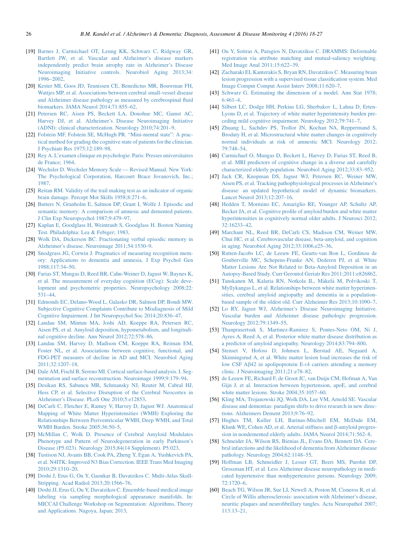- <span id="page-8-0"></span>[19] [Barnes J, Carmichael OT, Leung KK, Schwarz C, Ridgway GR,](http://refhub.elsevier.com/S2352-8729(16)30019-7/sref19) [Bartlett JW, et al. Vascular and Alzheimer's disease markers](http://refhub.elsevier.com/S2352-8729(16)30019-7/sref19) [independently predict brain atrophy rate in Alzheimer's Disease](http://refhub.elsevier.com/S2352-8729(16)30019-7/sref19) [Neuroimaging Initiative controls. Neurobiol Aging 2013;34:](http://refhub.elsevier.com/S2352-8729(16)30019-7/sref19) [1996–2002.](http://refhub.elsevier.com/S2352-8729(16)30019-7/sref19)
- [20] [Kester MI, Goos JD, Teunissen CE, Benedictus MR, Bouwman FH,](http://refhub.elsevier.com/S2352-8729(16)30019-7/sref20) [Wattjes MP, et al. Associations between cerebral small-vessel disease](http://refhub.elsevier.com/S2352-8729(16)30019-7/sref20) [and Alzheimer disease pathology as measured by cerebrospinal fluid](http://refhub.elsevier.com/S2352-8729(16)30019-7/sref20) [biomarkers. JAMA Neurol 2014;71:855–62](http://refhub.elsevier.com/S2352-8729(16)30019-7/sref20).
- [21] [Petersen RC, Aisen PS, Beckett LA, Donohue MC, Gamst AC,](http://refhub.elsevier.com/S2352-8729(16)30019-7/sref21) [Harvey DJ, et al. Alzheimer's Disease Neuroimaging Initiative](http://refhub.elsevier.com/S2352-8729(16)30019-7/sref21) [\(ADNI\): clinical characterization. Neurology 2010;74:201–9](http://refhub.elsevier.com/S2352-8729(16)30019-7/sref21).
- [22] [Folstein MF, Folstein SE, McHugh PR. "Mini-mental state": A prac](http://refhub.elsevier.com/S2352-8729(16)30019-7/sref22)[tical method for grading the cognitive state of patients for the clinician.](http://refhub.elsevier.com/S2352-8729(16)30019-7/sref22) [J Psychiatr Res 1975;12:189–98.](http://refhub.elsevier.com/S2352-8729(16)30019-7/sref22)
- [23] [Rey A. L'examen clinique en psychologie. Paris: Presses universitaires](http://refhub.elsevier.com/S2352-8729(16)30019-7/sref23) [de France; 1964.](http://refhub.elsevier.com/S2352-8729(16)30019-7/sref23)
- [24] [Wechsler D. Wechsler Memory Scale Revised Manual. New York:](http://refhub.elsevier.com/S2352-8729(16)30019-7/sref24) [The Psychological Corporation, Harcourt Brace Jovanovich, Inc.;](http://refhub.elsevier.com/S2352-8729(16)30019-7/sref24) [1987](http://refhub.elsevier.com/S2352-8729(16)30019-7/sref24).
- [25] [Reitan RM. Validity of the trail making test as an indicator of organic](http://refhub.elsevier.com/S2352-8729(16)30019-7/sref25) [brain damage. Percept Mot Skills 1958;8:271–6](http://refhub.elsevier.com/S2352-8729(16)30019-7/sref25).
- [26] [Butters N, Granholm E, Salmon DP, Grant I, Wolfe J. Episodic and](http://refhub.elsevier.com/S2352-8729(16)30019-7/sref26) [semantic memory: A comparison of amnesic and demented patients.](http://refhub.elsevier.com/S2352-8729(16)30019-7/sref26) [J Clin Exp Neuropsychol 1987;9:479–97](http://refhub.elsevier.com/S2352-8729(16)30019-7/sref26).
- [27] [Kaplan E, Goodglass H, Weintraub S, Goodglass H. Boston Naming](http://refhub.elsevier.com/S2352-8729(16)30019-7/sref27) [Test. Philadelphia: Lea & Febiger; 1983](http://refhub.elsevier.com/S2352-8729(16)30019-7/sref27).
- [28] [Wolk DA, Dickerson BC. Fractionating verbal episodic memory in](http://refhub.elsevier.com/S2352-8729(16)30019-7/sref28) [Alzheimer's disease. Neuroimage 2011;54:1530–9](http://refhub.elsevier.com/S2352-8729(16)30019-7/sref28).
- [29] [Snodgrass JG, Corwin J. Pragmatics of measuring recognition mem](http://refhub.elsevier.com/S2352-8729(16)30019-7/sref29)[ory: Applications to dementia and amnesia. J Exp Psychol Gen](http://refhub.elsevier.com/S2352-8729(16)30019-7/sref29) [1988;117:34–50](http://refhub.elsevier.com/S2352-8729(16)30019-7/sref29).
- [30] [Farias ST, Mungas D, Reed BR, Cahn-Weiner D, Jagust W, Baynes K,](http://refhub.elsevier.com/S2352-8729(16)30019-7/sref30) [et al. The measurement of everyday cognition \(ECog\): Scale deve](http://refhub.elsevier.com/S2352-8729(16)30019-7/sref30)[lopment and psychometric properties. Neuropsychology 2008;22:](http://refhub.elsevier.com/S2352-8729(16)30019-7/sref30) [531–44](http://refhub.elsevier.com/S2352-8729(16)30019-7/sref30).
- [31] [Edmonds EC, Delano-Wood L, Galasko DR, Salmon DP, Bondi MW.](http://refhub.elsevier.com/S2352-8729(16)30019-7/sref31) [Subjective Cognitive Complaints Contribute to Misdiagnosis of Mild](http://refhub.elsevier.com/S2352-8729(16)30019-7/sref31) [Cognitive Impairment. J Int Neuropsychol Soc 2014;20:836–47.](http://refhub.elsevier.com/S2352-8729(16)30019-7/sref31)
- [32] [Landau SM, Mintun MA, Joshi AD, Koeppe RA, Petersen RC,](http://refhub.elsevier.com/S2352-8729(16)30019-7/sref32) [Aisen PS, et al. Amyloid deposition, hypometabolism, and longitudi](http://refhub.elsevier.com/S2352-8729(16)30019-7/sref32)[nal cognitive decline. Ann Neurol 2012;72:578–86.](http://refhub.elsevier.com/S2352-8729(16)30019-7/sref32)
- [33] [Landau SM, Harvey D, Madison CM, Koeppe RA, Reiman EM,](http://refhub.elsevier.com/S2352-8729(16)30019-7/sref33) [Foster NL, et al. Associations between cognitive, functional, and](http://refhub.elsevier.com/S2352-8729(16)30019-7/sref33) [FDG-PET measures of decline in AD and MCI. Neurobiol Aging](http://refhub.elsevier.com/S2352-8729(16)30019-7/sref33) [2011;32:1207–18](http://refhub.elsevier.com/S2352-8729(16)30019-7/sref33).
- [34] [Dale AM, Fischl B, Sereno MI. Cortical surface-based analysis. I. Seg](http://refhub.elsevier.com/S2352-8729(16)30019-7/sref34)[mentation and surface reconstruction. Neuroimage 1999;9:179–94.](http://refhub.elsevier.com/S2352-8729(16)30019-7/sref34)
- [35] [Desikan RS, Sabuncu MR, Schmansky NJ, Reuter M, Cabral HJ,](http://refhub.elsevier.com/S2352-8729(16)30019-7/sref35) [Hess CP, et al. Selective Disruption of the Cerebral Neocortex in](http://refhub.elsevier.com/S2352-8729(16)30019-7/sref35) [Alzheimer's Disease. PLoS One 2010;5:e12853](http://refhub.elsevier.com/S2352-8729(16)30019-7/sref35).
- [36] [DeCarli C, Fletcher E, Ramey V, Harvey D, Jagust WJ. Anatomical](http://refhub.elsevier.com/S2352-8729(16)30019-7/sref36) [Mapping of White Matter Hyperintensities \(WMH\) Exploring the](http://refhub.elsevier.com/S2352-8729(16)30019-7/sref36) [Relationships Between Periventricular WMH, Deep WMH, and Total](http://refhub.elsevier.com/S2352-8729(16)30019-7/sref36) [WMH Burden. Stroke 2005;36:50–5.](http://refhub.elsevier.com/S2352-8729(16)30019-7/sref36)
- [37] [McMillan C, Wolk D. Presence of Cerebral Amyloid Modulates](http://refhub.elsevier.com/S2352-8729(16)30019-7/sref37) [Phenotype and Pattern of Neurodegeneration in early Parkinson's](http://refhub.elsevier.com/S2352-8729(16)30019-7/sref37) [Disease \(P5.023\). Neurology 2015;84\(14 Supplement\). P5.023](http://refhub.elsevier.com/S2352-8729(16)30019-7/sref37).
- [38] [Tustison NJ, Avants BB, Cook PA, Zheng Y, Egan A, Yushkevich PA,](http://refhub.elsevier.com/S2352-8729(16)30019-7/sref38) [et al. N4ITK: Improved N3 Bias Correction. IEEE Trans Med Imaging](http://refhub.elsevier.com/S2352-8729(16)30019-7/sref38) [2010;29:1310–20](http://refhub.elsevier.com/S2352-8729(16)30019-7/sref38).
- [39] [Doshi J, Erus G, Ou Y, Gaonkar B, Davatzikos C. Multi-Atlas Skull-](http://refhub.elsevier.com/S2352-8729(16)30019-7/sref39)[Stripping. Acad Radiol 2013;20:1566–76.](http://refhub.elsevier.com/S2352-8729(16)30019-7/sref39)
- [40] [Doshi JJ, Erus G, Ou Y, Davatzikos C. Ensemble-based medical image](http://refhub.elsevier.com/S2352-8729(16)30019-7/sref40) [labeling via sampling morphological appearance manifolds. In:](http://refhub.elsevier.com/S2352-8729(16)30019-7/sref40) [MICCAI Challenge Workshop on Segmentation: Algorithms, Theory](http://refhub.elsevier.com/S2352-8729(16)30019-7/sref40) [and Applications. Nagoya, Japan; 2013](http://refhub.elsevier.com/S2352-8729(16)30019-7/sref40).
- [41] [Ou Y, Sotiras A, Paragios N, Davatzikos C. DRAMMS: Deformable](http://refhub.elsevier.com/S2352-8729(16)30019-7/sref41) [registration via attribute matching and mutual-saliency weighting.](http://refhub.elsevier.com/S2352-8729(16)30019-7/sref41) [Med Image Anal 2011;15:622–39](http://refhub.elsevier.com/S2352-8729(16)30019-7/sref41).
- [42] [Zacharaki EI, Kanterakis S, Bryan RN, Davatzikos C. Measuring brain](http://refhub.elsevier.com/S2352-8729(16)30019-7/sref42) [lesion progression with a supervised tissue classification system. Med](http://refhub.elsevier.com/S2352-8729(16)30019-7/sref42) [Image Comput Comput Assist Interv 2008;11:620–7](http://refhub.elsevier.com/S2352-8729(16)30019-7/sref42).
- [43] [Schwarz G. Estimating the dimension of a model. Ann Stat 1978;](http://refhub.elsevier.com/S2352-8729(16)30019-7/sref43) [6:461–4](http://refhub.elsevier.com/S2352-8729(16)30019-7/sref43).
- [44] [Silbert LC, Dodge HH, Perkins LG, Sherbakov L, Lahna D, Erten-](http://refhub.elsevier.com/S2352-8729(16)30019-7/sref44)[Lyons D, et al. Trajectory of white matter hyperintensity burden pre](http://refhub.elsevier.com/S2352-8729(16)30019-7/sref44)[ceding mild cognitive impairment. Neurology 2012;79:741–7.](http://refhub.elsevier.com/S2352-8729(16)30019-7/sref44)
- [45] [Zhuang L, Sachdev PS, Trollor JN, Kochan NA, Reppermund S,](http://refhub.elsevier.com/S2352-8729(16)30019-7/sref45) [Brodaty H, et al. Microstructural white matter changes in cognitively](http://refhub.elsevier.com/S2352-8729(16)30019-7/sref45) [normal individuals at risk of amnestic MCI. Neurology 2012;](http://refhub.elsevier.com/S2352-8729(16)30019-7/sref45) [79:748–54](http://refhub.elsevier.com/S2352-8729(16)30019-7/sref45).
- [46] [Carmichael O, Mungas D, Beckett L, Harvey D, Farias ST, Reed B,](http://refhub.elsevier.com/S2352-8729(16)30019-7/sref46) [et al. MRI predictors of cognitive change in a diverse and carefully](http://refhub.elsevier.com/S2352-8729(16)30019-7/sref46) [characterized elderly population. Neurobiol Aging 2012;33:83–952.](http://refhub.elsevier.com/S2352-8729(16)30019-7/sref46)
- [47] [Jack CR, Knopman DS, Jagust WJ, Petersen RC, Weiner MW,](http://refhub.elsevier.com/S2352-8729(16)30019-7/sref47) [Aisen PS, et al. Tracking pathophysiological processes in Alzheimer's](http://refhub.elsevier.com/S2352-8729(16)30019-7/sref47) [disease: an updated hypothetical model of dynamic biomarkers.](http://refhub.elsevier.com/S2352-8729(16)30019-7/sref47) [Lancet Neurol 2013;12:207–16.](http://refhub.elsevier.com/S2352-8729(16)30019-7/sref47)
- [48] [Hedden T, Mormino EC, Amariglio RE, Younger AP, Schultz AP,](http://refhub.elsevier.com/S2352-8729(16)30019-7/sref48) [Becker JA, et al. Cognitive profile of amyloid burden and white matter](http://refhub.elsevier.com/S2352-8729(16)30019-7/sref48) [hyperintensities in cognitively normal older adults. J Neurosci 2012;](http://refhub.elsevier.com/S2352-8729(16)30019-7/sref48) [32:16233–42](http://refhub.elsevier.com/S2352-8729(16)30019-7/sref48).
- [49] [Marchant NL, Reed BR, DeCarli CS, Madison CM, Weiner MW,](http://refhub.elsevier.com/S2352-8729(16)30019-7/sref49) [Chui HC, et al. Cerebrovascular disease, beta-amyloid, and cognition](http://refhub.elsevier.com/S2352-8729(16)30019-7/sref49) [in aging. Neurobiol Aging 2012;33:1006.e25–36.](http://refhub.elsevier.com/S2352-8729(16)30019-7/sref49)
- [50] [Rutten-Jacobs LC, de Leeuw FE, Geurts-van Bon L, Gordinou de](http://refhub.elsevier.com/S2352-8729(16)30019-7/sref50) [Gouberville MC, Schepens-Franke AN, Dederen PJ, et al. White](http://refhub.elsevier.com/S2352-8729(16)30019-7/sref50) [Matter Lesions Are Not Related to Beta-Amyloid Deposition in an](http://refhub.elsevier.com/S2352-8729(16)30019-7/sref50) [Autopsy-Based Study. Curr Gerontol Geriatr Res 2011;2011:e826862](http://refhub.elsevier.com/S2352-8729(16)30019-7/sref50).
- [51] [Tanskanen M, Kalaria RN, Notkola IL, M](http://refhub.elsevier.com/S2352-8729(16)30019-7/sref51)äkelä M, Polvikoski T, [Myllykangas L, et al. Relationships between white matter hyperinten](http://refhub.elsevier.com/S2352-8729(16)30019-7/sref51)[sities, cerebral amyloid angiopathy and dementia in a population](http://refhub.elsevier.com/S2352-8729(16)30019-7/sref51)[based sample of the oldest old. Curr Alzheimer Res 2013;10:1090–7](http://refhub.elsevier.com/S2352-8729(16)30019-7/sref51).
- [52] [Lo RY, Jagust WJ, Alzheimer's Disease Neuroimaging Initiative.](http://refhub.elsevier.com/S2352-8729(16)30019-7/sref52) [Vascular burden and Alzheimer disease pathologic progression.](http://refhub.elsevier.com/S2352-8729(16)30019-7/sref52) [Neurology 2012;79:1349–55.](http://refhub.elsevier.com/S2352-8729(16)30019-7/sref52)
- [53] [Thanprasertsuk S, Martinez-Ramirez S, Pontes-Neto OM, Ni J,](http://refhub.elsevier.com/S2352-8729(16)30019-7/sref53) [Ayres A, Reed A, et al. Posterior white matter disease distribution as](http://refhub.elsevier.com/S2352-8729(16)30019-7/sref53) [a predictor of amyloid angiopathy. Neurology 2014;83:794–800.](http://refhub.elsevier.com/S2352-8729(16)30019-7/sref53)
- [54] [Stenset V, Hofoss D, Johnsen L, Berstad AE, Negaard A,](http://refhub.elsevier.com/S2352-8729(16)30019-7/sref54) [Skinningsrud A, et al. White matter lesion load increases the risk of](http://refhub.elsevier.com/S2352-8729(16)30019-7/sref54) low CSF A $\beta$ [42 in apolipoprotein E-](http://refhub.elsevier.com/S2352-8729(16)30019-7/sref54) $\epsilon$ [4 carriers attending a memory](http://refhub.elsevier.com/S2352-8729(16)30019-7/sref54) [clinic. J Neuroimaging 2011;21:e78–82](http://refhub.elsevier.com/S2352-8729(16)30019-7/sref54).
- [55] [de Leeuw FE, Richard F, de Groot JC, van Duijn CM, Hofman A, Van](http://refhub.elsevier.com/S2352-8729(16)30019-7/sref55) [Gijn J, et al. Interaction between hypertension, apoE, and cerebral](http://refhub.elsevier.com/S2352-8729(16)30019-7/sref55) [white matter lesions. Stroke 2004;35:1057–60](http://refhub.elsevier.com/S2352-8729(16)30019-7/sref55).
- [56] [Kling MA, Trojanowski JQ, Wolk DA, Lee VM, Arnold SE. Vascular](http://refhub.elsevier.com/S2352-8729(16)30019-7/sref56) [disease and dementias: paradigm shifts to drive research in new direc](http://refhub.elsevier.com/S2352-8729(16)30019-7/sref56)[tions. Alzheimers Dement 2013;9:76–92.](http://refhub.elsevier.com/S2352-8729(16)30019-7/sref56)
- [57] [Hughes TM, Kuller LH, Barinas-Mitchell EM, McDade EM,](http://refhub.elsevier.com/S2352-8729(16)30019-7/sref57) [Klunk WE, Cohen AD, et al. Arterial stiffness and](http://refhub.elsevier.com/S2352-8729(16)30019-7/sref57)  $\beta$ -amyloid progres[sion in nondemented elderly adults. JAMA Neurol 2014;71:562–8.](http://refhub.elsevier.com/S2352-8729(16)30019-7/sref57)
- [58] [Schneider JA, Wilson RS, Bienias JL, Evans DA, Bennett DA. Cere](http://refhub.elsevier.com/S2352-8729(16)30019-7/sref58)[bral infarctions and the likelihood of dementia from Alzheimer disease](http://refhub.elsevier.com/S2352-8729(16)30019-7/sref58) [pathology. Neurology 2004;62:1148–55](http://refhub.elsevier.com/S2352-8729(16)30019-7/sref58).
- [59] [Hoffman LB, Schmeidler J, Lesser GT, Beeri MS, Purohit DP,](http://refhub.elsevier.com/S2352-8729(16)30019-7/sref59) [Grossman HT, et al. Less Alzheimer disease neuropathology in medi](http://refhub.elsevier.com/S2352-8729(16)30019-7/sref59)[cated hypertensive than nonhypertensive persons. Neurology 2009;](http://refhub.elsevier.com/S2352-8729(16)30019-7/sref59) [72:1720–6](http://refhub.elsevier.com/S2352-8729(16)30019-7/sref59).
- [60] [Beach TG, Wilson JR, Sue LI, Newell A, Poston M, Cisneros R, et al.](http://refhub.elsevier.com/S2352-8729(16)30019-7/sref60) [Circle of Willis atherosclerosis: association with Alzheimer's disease,](http://refhub.elsevier.com/S2352-8729(16)30019-7/sref60) [neuritic plaques and neurofibrillary tangles. Acta Neuropathol 2007;](http://refhub.elsevier.com/S2352-8729(16)30019-7/sref60) [113:13–21](http://refhub.elsevier.com/S2352-8729(16)30019-7/sref60).